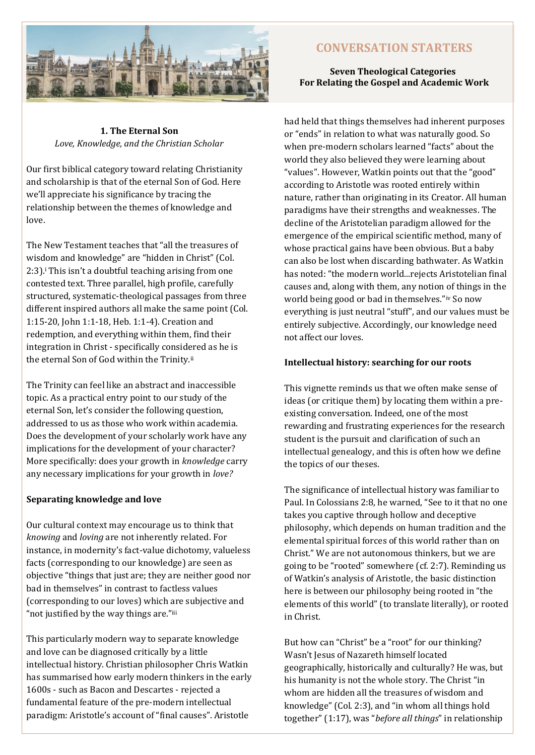

# **1. The Eternal Son** *Love, Knowledge, and the Christian Scholar*

Our first biblical category toward relating Christianity and scholarship is that of the eternal Son of God. Here we'll appreciate his significance by tracing the relationship between the themes of knowledge and love.

The New Testament teaches that "all the treasures of wisdom and knowledge" are "hidden in Christ" (Col. 2:3).<sup>i</sup> This isn't a doubtful teaching arising from one contested text. Three parallel, high profile, carefully structured, systematic-theological passages from three different inspired authors all make the same point (Col. 1:15-20, John 1:1-18, Heb. 1:1-4). Creation and redemption, and everything within them, find their integration in Christ - specifically considered as he is the eternal Son of God within the Trinity.<sup>ii</sup>

The Trinity can feel like an abstract and inaccessible topic. As a practical entry point to our study of the eternal Son, let's consider the following question, addressed to us as those who work within academia. Does the development of your scholarly work have any implications for the development of your character? More specifically: does your growth in *knowledge* carry any necessary implications for your growth in *love?*

# **Separating knowledge and love**

Our cultural context may encourage us to think that *knowing* and *loving* are not inherently related. For instance, in modernity's fact-value dichotomy, valueless facts (corresponding to our knowledge) are seen as objective "things that just are; they are neither good nor bad in themselves" in contrast to factless values (corresponding to our loves) which are subjective and "not justified by the way things are."iii

This particularly modern way to separate knowledge and love can be diagnosed critically by a little intellectual history. Christian philosopher Chris Watkin has summarised how early modern thinkers in the early 1600s - such as Bacon and Descartes - rejected a fundamental feature of the pre-modern intellectual paradigm: Aristotle's account of "final causes". Aristotle

# **CONVERSATION STARTERS**

# **Seven Theological Categories For Relating the Gospel and Academic Work**

had held that things themselves had inherent purposes or "ends" in relation to what was naturally good. So when pre-modern scholars learned "facts" about the world they also believed they were learning about "values". However, Watkin points out that the "good" according to Aristotle was rooted entirely within nature, rather than originating in its Creator. All human paradigms have their strengths and weaknesses. The decline of the Aristotelian paradigm allowed for the emergence of the empirical scientific method, many of whose practical gains have been obvious. But a baby can also be lost when discarding bathwater. As Watkin has noted: "the modern world...rejects Aristotelian final causes and, along with them, any notion of things in the world being good or bad in themselves."iv So now everything is just neutral "stuff", and our values must be entirely subjective. Accordingly, our knowledge need not affect our loves.

#### **Intellectual history: searching for our roots**

This vignette reminds us that we often make sense of ideas (or critique them) by locating them within a preexisting conversation. Indeed, one of the most rewarding and frustrating experiences for the research student is the pursuit and clarification of such an intellectual genealogy, and this is often how we define the topics of our theses.

The significance of intellectual history was familiar to Paul. In Colossians 2:8, he warned, "See to it that no one takes you captive through hollow and deceptive philosophy, which depends on human tradition and the elemental spiritual forces of this world rather than on Christ." We are not autonomous thinkers, but we are going to be "rooted" somewhere (cf. 2:7). Reminding us of Watkin's analysis of Aristotle, the basic distinction here is between our philosophy being rooted in "the elements of this world" (to translate literally), or rooted in Christ.

But how can "Christ" be a "root" for our thinking? Wasn't Jesus of Nazareth himself located geographically, historically and culturally? He was, but his humanity is not the whole story. The Christ "in whom are hidden all the treasures of wisdom and knowledge" (Col. 2:3), and "in whom all things hold together" (1:17), was "*before all things*" in relationship